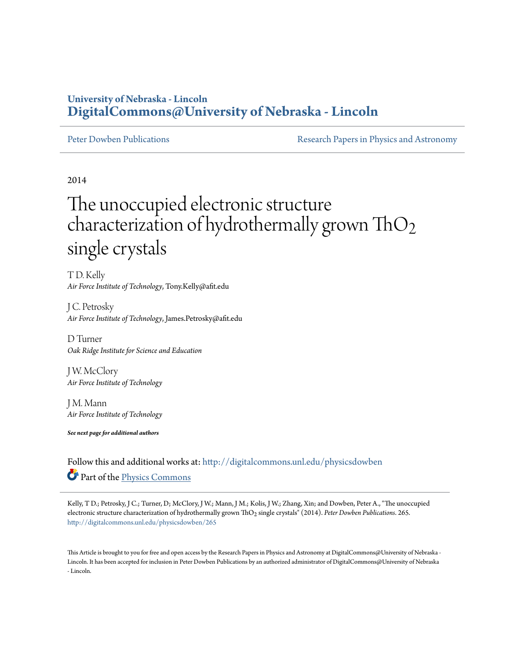### **University of Nebraska - Lincoln [DigitalCommons@University of Nebraska - Lincoln](http://digitalcommons.unl.edu?utm_source=digitalcommons.unl.edu%2Fphysicsdowben%2F265&utm_medium=PDF&utm_campaign=PDFCoverPages)**

[Peter Dowben Publications](http://digitalcommons.unl.edu/physicsdowben?utm_source=digitalcommons.unl.edu%2Fphysicsdowben%2F265&utm_medium=PDF&utm_campaign=PDFCoverPages) **[Research Papers in Physics and Astronomy](http://digitalcommons.unl.edu/physicsresearch?utm_source=digitalcommons.unl.edu%2Fphysicsdowben%2F265&utm_medium=PDF&utm_campaign=PDFCoverPages)** 

2014

# The unoccupied electronic structure characterization of hydrothermally grown  $ThO<sub>2</sub>$ single crystals

T D. Kelly *Air Force Institute of Technology*, Tony.Kelly@afit.edu

J C. Petrosky *Air Force Institute of Technology*, James.Petrosky@afit.edu

D Turner *Oak Ridge Institute for Science and Education*

J W. McClory *Air Force Institute of Technology*

J M. Mann *Air Force Institute of Technology*

*See next page for additional authors*

Follow this and additional works at: [http://digitalcommons.unl.edu/physicsdowben](http://digitalcommons.unl.edu/physicsdowben?utm_source=digitalcommons.unl.edu%2Fphysicsdowben%2F265&utm_medium=PDF&utm_campaign=PDFCoverPages) Part of the [Physics Commons](http://network.bepress.com/hgg/discipline/193?utm_source=digitalcommons.unl.edu%2Fphysicsdowben%2F265&utm_medium=PDF&utm_campaign=PDFCoverPages)

Kelly, T D.; Petrosky, J C.; Turner, D; McClory, J W.; Mann, J M.; Kolis, J W.; Zhang, Xin; and Dowben, Peter A., "The unoccupied electronic structure characterization of hydrothermally grown ThO2 single crystals" (2014). *Peter Dowben Publications*. 265. [http://digitalcommons.unl.edu/physicsdowben/265](http://digitalcommons.unl.edu/physicsdowben/265?utm_source=digitalcommons.unl.edu%2Fphysicsdowben%2F265&utm_medium=PDF&utm_campaign=PDFCoverPages)

This Article is brought to you for free and open access by the Research Papers in Physics and Astronomy at DigitalCommons@University of Nebraska - Lincoln. It has been accepted for inclusion in Peter Dowben Publications by an authorized administrator of DigitalCommons@University of Nebraska - Lincoln.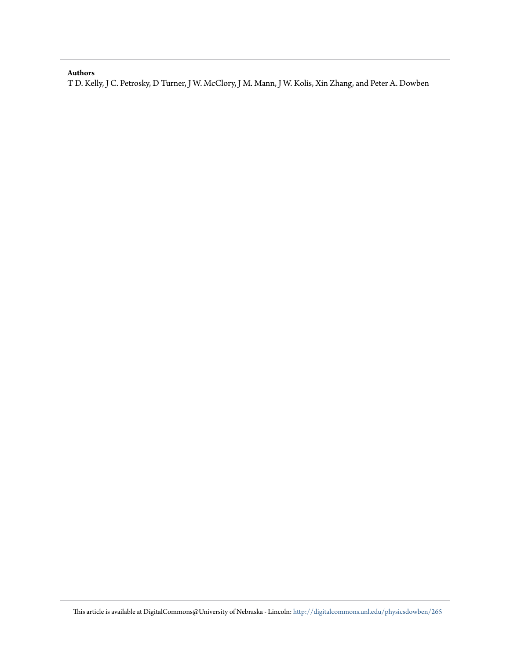### **Authors**

T D. Kelly, J C. Petrosky, D Turner, J W. McClory, J M. Mann, J W. Kolis, Xin Zhang, and Peter A. Dowben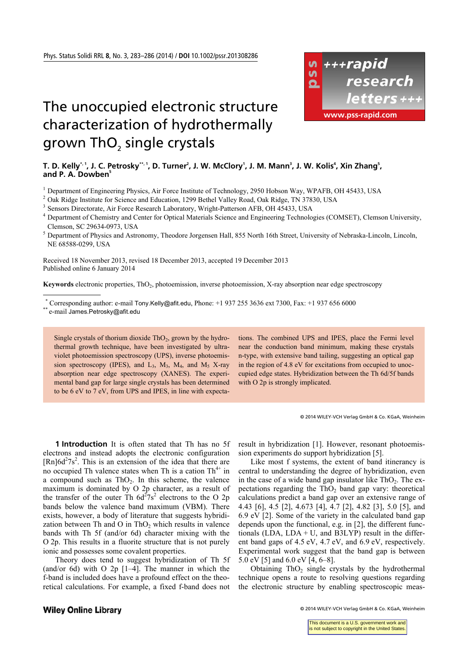## The unoccupied electronic structure characterization of hydrothermally grown ThO<sub>2</sub> single crystals



### T. D. Kelly\*', J. C. Petrosky\*'', D. Turner', J. W. McClory', J. M. Mann', J. W. Kolis<sup>4</sup>, Xin Zhang', and P. A. Dowben<sup>5</sup>

<sup>1</sup> Department of Engineering Physics, Air Force Institute of Technology, 2950 Hobson Way, WPAFB, OH 45433, USA  $^{2}$  Oek Ridge Institute for Seignee and Education 1200 Bothel Valley Road, Oek Ridge TN 37830, USA

<sup>2</sup> Oak Ridge Institute for Science and Education, 1299 Bethel Valley Road, Oak Ridge, TN 37830, USA

<sup>3</sup> Sensors Directorate, Air Force Research Laboratory, Wright-Patterson AFB, OH 45433, USA

<sup>4</sup> Department of Chemistry and Center for Optical Materials Science and Engineering Technologies (COMSET), Clemson University, Clemson, SC 29634-0973, USA

<sup>5</sup> Department of Physics and Astronomy, Theodore Jorgensen Hall, 855 North 16th Street, University of Nebraska-Lincoln, Lincoln, NE 68588-0299, USA

Received 18 November 2013, revised 18 December 2013, accepted 19 December 2013 Published online 6 January 2014

**Keywords** electronic properties, ThO<sub>2</sub>, photoemission, inverse photoemission, X-ray absorption near edge spectroscopy

\* Corresponding author: e-mail Tony.Kelly@afit.edu, Phone: +1 937 255 3636 ext 7300, Fax: +1 937 656 6000<br>\*\* e-mail James.Petrosky@afit.edu

1

Single crystals of thorium dioxide  $ThO<sub>2</sub>$ , grown by the hydrothermal growth technique, have been investigated by ultraviolet photoemission spectroscopy (UPS), inverse photoemission spectroscopy (IPES), and  $L_3$ ,  $M_3$ ,  $M_4$ , and  $M_5$  X-ray absorption near edge spectroscopy (XANES). The experimental band gap for large single crystals has been determined to be 6 eV to 7 eV, from UPS and IPES, in line with expecta tions. The combined UPS and IPES, place the Fermi level near the conduction band minimum, making these crystals n-type, with extensive band tailing, suggesting an optical gap in the region of 4.8 eV for excitations from occupied to unoccupied edge states. Hybridization between the Th 6d/5f bands with O 2p is strongly implicated.

© 2014 WILEY-VCH Verlag GmbH & Co. KGaA, Weinheim

**1 Introduction** It is often stated that Th has no 5f electrons and instead adopts the electronic configuration  $[Rn]6d^{2}7s^{2}$ . This is an extension of the idea that there are no occupied Th valence states when Th is a cation  $Th^{4+}$  in a compound such as  $ThO<sub>2</sub>$ . In this scheme, the valence maximum is dominated by O 2p character, as a result of the transfer of the outer Th  $6d^27s^2$  electrons to the O 2p bands below the valence band maximum (VBM). There exists, however, a body of literature that suggests hybridization between Th and  $O$  in Th $O_2$  which results in valence bands with Th 5f (and/or 6d) character mixing with the O 2p. This results in a fluorite structure that is not purely ionic and possesses some covalent properties.

Theory does tend to suggest hybridization of Th 5f (and/or 6d) with O 2p [1–4]. The manner in which the f-band is included does have a profound effect on the theoretical calculations. For example, a fixed f-band does not

result in hybridization [1]. However, resonant photoemission experiments do support hybridization [5].

Like most f systems, the extent of band itinerancy is central to understanding the degree of hybridization, even in the case of a wide band gap insulator like  $ThO<sub>2</sub>$ . The expectations regarding the  $ThO<sub>2</sub>$  band gap vary: theoretical calculations predict a band gap over an extensive range of 4.43 [6], 4.5 [2], 4.673 [4], 4.7 [2], 4.82 [3], 5.0 [5], and 6.9 eV [2]. Some of the variety in the calculated band gap depends upon the functional, e.g. in [2], the different functionals (LDA,  $LDA + U$ , and B3LYP) result in the different band gaps of 4.5 eV, 4.7 eV, and 6.9 eV, respectively. Experimental work suggest that the band gap is between 5.0 eV [5] and 6.0 eV [4, 6–8].

Obtaining  $ThO<sub>2</sub>$  single crystals by the hydrothermal technique opens a route to resolving questions regarding the electronic structure by enabling spectroscopic meas-

### **Wiley Online Library**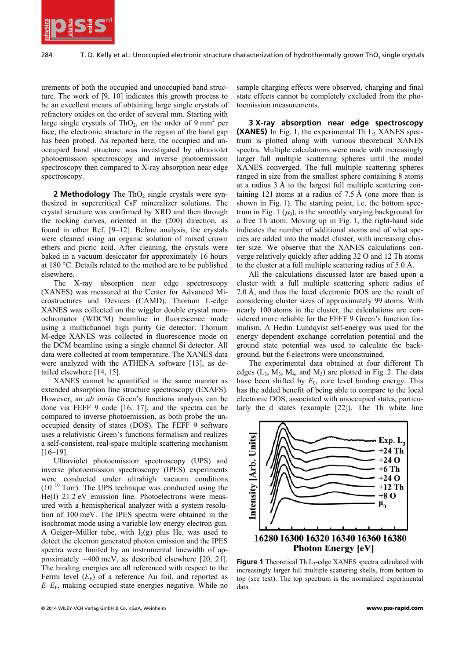

urements of both the occupied and unoccupied band structure. The work of [9, 10] indicates this growth process to be an excellent means of obtaining large single crystals of refractory oxides on the order of several mm. Starting with large single crystals of ThO<sub>2</sub>, on the order of  $9 \text{ mm}^2$  per face, the electronic structure in the region of the band gap has been probed. As reported here, the occupied and unoccupied band structure was investigated by ultraviolet photoemission spectroscopy and inverse photoemission spectroscopy then compared to X-ray absorption near edge spectroscopy.

**2 Methodology** The ThO<sub>2</sub> single crystals were synthesized in supercritical CsF mineralizer solutions. The crystal structure was confirmed by XRD and then through the rocking curves, oriented in the (200) direction, as found in other Ref. [9–12]. Before analysis, the crystals were cleaned using an organic solution of mixed crown ethers and picric acid. After cleaning, the crystals were baked in a vacuum desiccator for approximately 16 hours at 180 °C. Details related to the method are to be published elsewhere.

The X-ray absorption near edge spectroscopy (XANES) was measured at the Center for Advanced Microstructures and Devices (CAMD). Thorium L-edge XANES was collected on the wiggler double crystal monochromator (WDCM) beamline in fluorescence mode using a multichannel high purity Ge detector. Thorium M-edge XANES was collected in fluorescence mode on the DCM beamline using a single channel Si detector. All data were collected at room temperature. The XANES data were analyzed with the ATHENA software [13], as detailed elsewhere [14, 15].

XANES cannot be quantified in the same manner as extended absorption fine structure spectroscopy (EXAFS). However, an *ab initio* Green's functions analysis can be done via FEFF 9 code [16, 17], and the spectra can be compared to inverse photoemission, as both probe the unoccupied density of states (DOS). The FEFF 9 software uses a relativistic Green's functions formalism and realizes a self-consistent, real-space multiple scattering mechanism [16–19].

Ultraviolet photoemission spectroscopy (UPS) and inverse photoemission spectroscopy (IPES) experiments were conducted under ultrahigh vacuum conditions (10<sup>−</sup>10 Torr). The UPS technique was conducted using the He(I) 21.2 eV emission line. Photoelectrons were measured with a hemispherical analyzer with a system resolution of 100 meV. The IPES spectra were obtained in the isochromat mode using a variable low energy electron gun. A Geiger–Müller tube, with  $I_2(g)$  plus He, was used to detect the electron generated photon emission and the IPES spectra were limited by an instrumental linewidth of approximately  $\sim$ 400 meV, as described elsewhere [20, 21]. The binding energies are all referenced with respect to the Fermi level  $(E_F)$  of a reference Au foil, and reported as  $E$ – $E$ <sub>F</sub>, making occupied state energies negative. While no

sample charging effects were observed, charging and final state effects cannot be completely excluded from the photoemission measurements.

**EQUINERED CONFIRM CONTROVIDENT CONFIRM CONTROVIDENT CONFIRM CONTROVIDENT CONFIRM CONFIRM CONTROVIDENT CONFIRM CONTROVIDENT CONFIRM CONFIRM CONFIRM CONFIRM CONFIRM CONFIRM CONFIRM CONFIRM CONFIRM CONFIRM CONFIRM CONFIRM C 3 X-ray absorption near edge spectroscopy (XANES)** In Fig. 1, the experimental Th  $L_3$  XANES spectrum is plotted along with various theoretical XANES spectra. Multiple calculations were made with increasingly larger full multiple scattering spheres until the model XANES converged. The full multiple scattering spheres ranged in size from the smallest sphere containing 8 atoms at a radius 3 Å to the largest full multiple scattering containing 121 atoms at a radius of 7.5 Å (one more than is shown in Fig. 1). The starting point, i.e. the bottom spectrum in Fig. 1  $(\mu_0)$ , is the smoothly varying background for a free Th atom. Moving up in Fig. 1, the right-hand side indicates the number of additional atoms and of what species are added into the model cluster, with increasing cluster size. We observe that the XANES calculations converge relatively quickly after adding 32 O and 12 Th atoms to the cluster at a full multiple scattering radius of 5.0 Å.

All the calculations discussed later are based upon a cluster with a full multiple scattering sphere radius of 7.0 Å, and thus the local electronic DOS are the result of considering cluster sizes of approximately 99 atoms. With nearly 100 atoms in the cluster, the calculations are considered more reliable for the FEFF 9 Green's function formalism. A Hedin–Lundqvist self-energy was used for the energy dependent exchange correlation potential and the ground state potential was used to calculate the background, but the f-electrons were unconstrained.

The experimental data obtained at four different Th edges  $(L_3, M_3, M_4, and M_5)$  are plotted in Fig. 2. The data have been shifted by  $E_0$ , core level binding energy. This has the added benefit of being able to compare to the local electronic DOS, associated with unoccupied states, particularly the d states (example [22]). The Th white line



**Figure 1** Theoretical Th L<sub>3</sub>-edge XANES spectra calculated with increasingly larger full multiple scattering shells, from bottom to top (see text). The top spectrum is the normalized experimental data.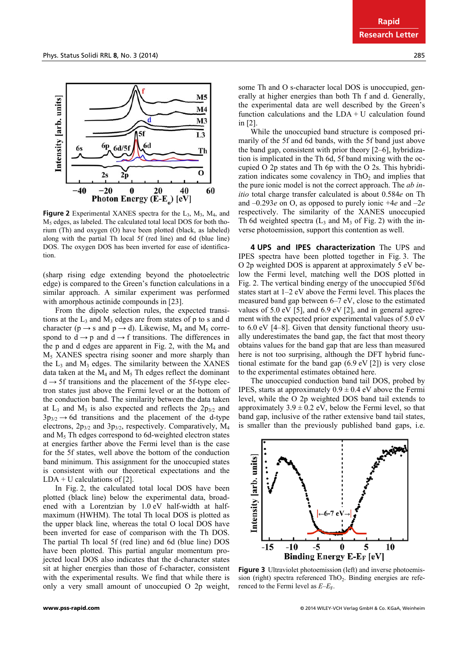

**Figure 2** Experimental XANES spectra for the  $L_3$ ,  $M_3$ ,  $M_4$ , and M<sub>5</sub> edges, as labeled. The calculated total local DOS for both thorium (Th) and oxygen (O) have been plotted (black, as labeled) along with the partial Th local 5f (red line) and 6d (blue line) DOS. The oxygen DOS has been inverted for ease of identification.

(sharp rising edge extending beyond the photoelectric edge) is compared to the Green's function calculations in a similar approach. A similar experiment was performed with amorphous actinide compounds in [23].

From the dipole selection rules, the expected transitions at the  $L_3$  and  $M_3$  edges are from states of p to s and d character ( $p \rightarrow s$  and  $p \rightarrow d$ ). Likewise, M<sub>4</sub> and M<sub>5</sub> correspond to  $\overrightarrow{d} \rightarrow p$  and  $\overrightarrow{d} \rightarrow f$  transitions. The differences in the p and d edges are apparent in Fig. 2, with the  $M_4$  and M5 XANES spectra rising sooner and more sharply than the  $L_3$  and  $M_3$  edges. The similarity between the XANES data taken at the  $M_4$  and  $M_5$ . Th edges reflect the dominant  $d \rightarrow 5f$  transitions and the placement of the 5f-type electron states just above the Fermi level or at the bottom of the conduction band. The similarity between the data taken at  $L_3$  and  $M_3$  is also expected and reflects the  $2p_{3/2}$  and  $3p_{3/2} \rightarrow 6d$  transitions and the placement of the d-type electrons,  $2p_{3/2}$  and  $3p_{3/2}$ , respectively. Comparatively, M<sub>4</sub> and  $M<sub>5</sub>$ . Th edges correspond to 6d-weighted electron states at energies farther above the Fermi level than is the case for the 5f states, well above the bottom of the conduction band minimum. This assignment for the unoccupied states is consistent with our theoretical expectations and the  $LDA + U$  calculations of [2].

In Fig. 2, the calculated total local DOS have been plotted (black line) below the experimental data, broadened with a Lorentzian by 1.0 eV half-width at halfmaximum (HWHM). The total Th local DOS is plotted as the upper black line, whereas the total O local DOS have been inverted for ease of comparison with the Th DOS. The partial Th local 5f (red line) and 6d (blue line) DOS have been plotted. This partial angular momentum projected local DOS also indicates that the d-character states sit at higher energies than those of f-character, consistent with the experimental results. We find that while there is only a very small amount of unoccupied O 2p weight,

some Th and O s-character local DOS is unoccupied, generally at higher energies than both Th f and d. Generally, the experimental data are well described by the Green's function calculations and the  $LDA + U$  calculation found in [2].

While the unoccupied band structure is composed primarily of the 5f and 6d bands, with the 5f band just above the band gap, consistent with prior theory [2–6], hybridization is implicated in the Th 6d, 5f band mixing with the occupied O 2p states and Th 6p with the O 2s. This hybridization indicates some covalency in  $ThO<sub>2</sub>$  and implies that the pure ionic model is not the correct approach. The *ab initio* total charge transfer calculated is about 0.584*e* on Th and –0.293*e* on O, as opposed to purely ionic +4*e* and –2*e*  respectively. The similarity of the XANES unoccupied Th 6d weighted spectra  $(L_3 \text{ and } M_3 \text{ of Fig. 2})$  with the inverse photoemission, support this contention as well.

**4 UPS and IPES characterization** The UPS and IPES spectra have been plotted together in Fig. 3. The O 2p weighted DOS is apparent at approximately 5 eV below the Fermi level, matching well the DOS plotted in Fig. 2. The vertical binding energy of the unoccupied 5f/6d states start at 1–2 eV above the Fermi level. This places the measured band gap between 6–7 eV, close to the estimated values of  $5.0 \text{ eV}$  [5], and  $6.9 \text{ eV}$  [2], and in general agreement with the expected prior experimental values of 5.0 eV to 6.0 eV [4–8]. Given that density functional theory usually underestimates the band gap, the fact that most theory obtains values for the band gap that are less than measured here is not too surprising, although the DFT hybrid functional estimate for the band gap (6.9 eV [2]) is very close to the experimental estimates obtained here.

The unoccupied conduction band tail DOS, probed by IPES, starts at approximately  $0.9 \pm 0.4$  eV above the Fermi level, while the O 2p weighted DOS band tail extends to approximately  $3.9 \pm 0.2$  eV, below the Fermi level, so that band gap, inclusive of the rather extensive band tail states, is smaller than the previously published band gaps, i.e.



**Figure 3** Ultraviolet photoemission (left) and inverse photoemission (right) spectra referenced ThO<sub>2</sub>. Binding energies are referenced to the Fermi level as  $E-E<sub>F</sub>$ .